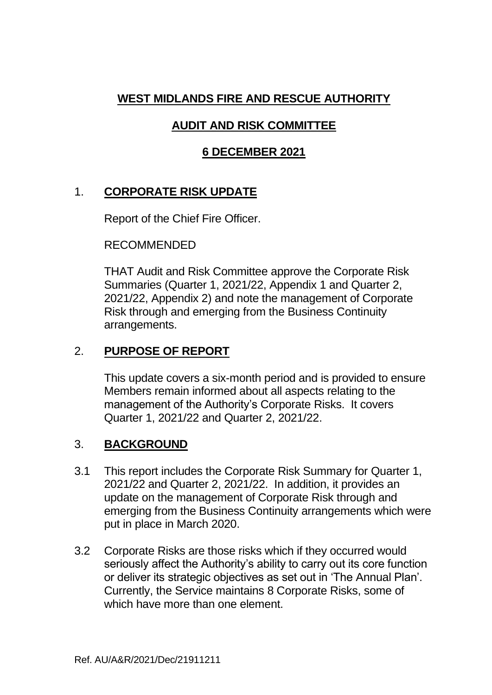# **WEST MIDLANDS FIRE AND RESCUE AUTHORITY**

# **AUDIT AND RISK COMMITTEE**

### **6 DECEMBER 2021**

# 1. **CORPORATE RISK UPDATE**

Report of the Chief Fire Officer.

#### RECOMMENDED

THAT Audit and Risk Committee approve the Corporate Risk Summaries (Quarter 1, 2021/22, Appendix 1 and Quarter 2, 2021/22, Appendix 2) and note the management of Corporate Risk through and emerging from the Business Continuity arrangements.

# 2. **PURPOSE OF REPORT**

This update covers a six-month period and is provided to ensure Members remain informed about all aspects relating to the management of the Authority's Corporate Risks. It covers Quarter 1, 2021/22 and Quarter 2, 2021/22.

#### 3. **BACKGROUND**

- 3.1 This report includes the Corporate Risk Summary for Quarter 1, 2021/22 and Quarter 2, 2021/22. In addition, it provides an update on the management of Corporate Risk through and emerging from the Business Continuity arrangements which were put in place in March 2020.
- 3.2 Corporate Risks are those risks which if they occurred would seriously affect the Authority's ability to carry out its core function or deliver its strategic objectives as set out in 'The Annual Plan'. Currently, the Service maintains 8 Corporate Risks, some of which have more than one element.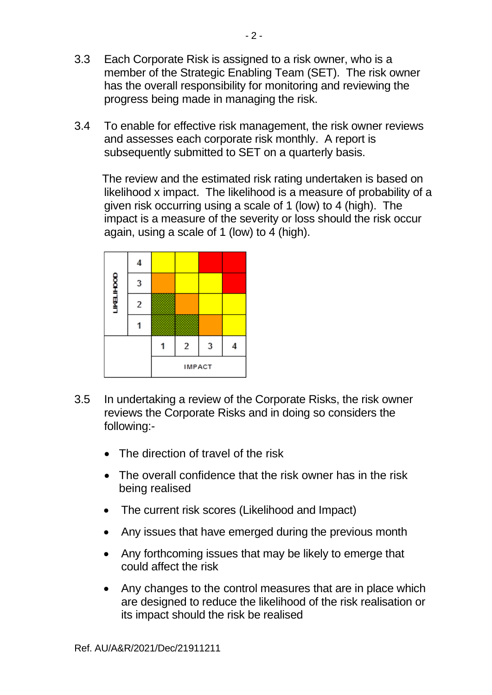- 3.3 Each Corporate Risk is assigned to a risk owner, who is a member of the Strategic Enabling Team (SET). The risk owner has the overall responsibility for monitoring and reviewing the progress being made in managing the risk.
- 3.4 To enable for effective risk management, the risk owner reviews and assesses each corporate risk monthly. A report is subsequently submitted to SET on a quarterly basis.

 The review and the estimated risk rating undertaken is based on likelihood x impact. The likelihood is a measure of probability of a given risk occurring using a scale of 1 (low) to 4 (high). The impact is a measure of the severity or loss should the risk occur again, using a scale of 1 (low) to 4 (high).



- 3.5 In undertaking a review of the Corporate Risks, the risk owner reviews the Corporate Risks and in doing so considers the following:-
	- The direction of travel of the risk
	- The overall confidence that the risk owner has in the risk being realised
	- The current risk scores (Likelihood and Impact)
	- Any issues that have emerged during the previous month
	- Any forthcoming issues that may be likely to emerge that could affect the risk
	- Any changes to the control measures that are in place which are designed to reduce the likelihood of the risk realisation or its impact should the risk be realised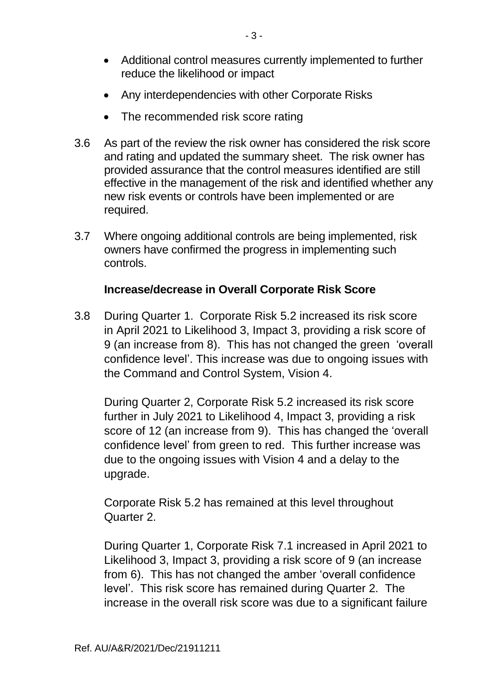- Any interdependencies with other Corporate Risks
- The recommended risk score rating
- 3.6 As part of the review the risk owner has considered the risk score and rating and updated the summary sheet. The risk owner has provided assurance that the control measures identified are still effective in the management of the risk and identified whether any new risk events or controls have been implemented or are required.
- 3.7 Where ongoing additional controls are being implemented, risk owners have confirmed the progress in implementing such controls.

#### **Increase/decrease in Overall Corporate Risk Score**

3.8 During Quarter 1. Corporate Risk 5.2 increased its risk score in April 2021 to Likelihood 3, Impact 3, providing a risk score of 9 (an increase from 8). This has not changed the green 'overall confidence level'. This increase was due to ongoing issues with the Command and Control System, Vision 4.

During Quarter 2, Corporate Risk 5.2 increased its risk score further in July 2021 to Likelihood 4, Impact 3, providing a risk score of 12 (an increase from 9). This has changed the 'overall confidence level' from green to red. This further increase was due to the ongoing issues with Vision 4 and a delay to the upgrade.

Corporate Risk 5.2 has remained at this level throughout Quarter 2.

During Quarter 1, Corporate Risk 7.1 increased in April 2021 to Likelihood 3, Impact 3, providing a risk score of 9 (an increase from 6). This has not changed the amber 'overall confidence level'. This risk score has remained during Quarter 2. The increase in the overall risk score was due to a significant failure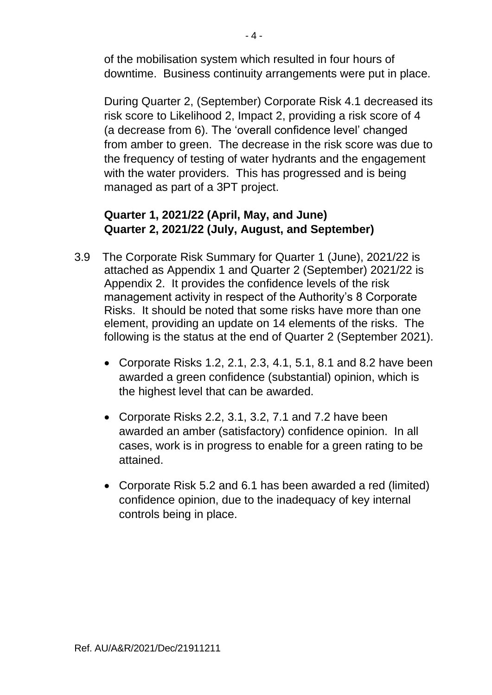of the mobilisation system which resulted in four hours of downtime. Business continuity arrangements were put in place.

During Quarter 2, (September) Corporate Risk 4.1 decreased its risk score to Likelihood 2, Impact 2, providing a risk score of 4 (a decrease from 6). The 'overall confidence level' changed from amber to green. The decrease in the risk score was due to the frequency of testing of water hydrants and the engagement with the water providers. This has progressed and is being managed as part of a 3PT project.

# **Quarter 1, 2021/22 (April, May, and June) Quarter 2, 2021/22 (July, August, and September)**

- 3.9 The Corporate Risk Summary for Quarter 1 (June), 2021/22 is attached as Appendix 1 and Quarter 2 (September) 2021/22 is Appendix 2. It provides the confidence levels of the risk management activity in respect of the Authority's 8 Corporate Risks. It should be noted that some risks have more than one element, providing an update on 14 elements of the risks. The following is the status at the end of Quarter 2 (September 2021).
	- Corporate Risks 1.2, 2.1, 2.3, 4.1, 5.1, 8.1 and 8.2 have been awarded a green confidence (substantial) opinion, which is the highest level that can be awarded.
	- Corporate Risks 2.2, 3.1, 3.2, 7.1 and 7.2 have been awarded an amber (satisfactory) confidence opinion. In all cases, work is in progress to enable for a green rating to be attained.
	- Corporate Risk 5.2 and 6.1 has been awarded a red (limited) confidence opinion, due to the inadequacy of key internal controls being in place.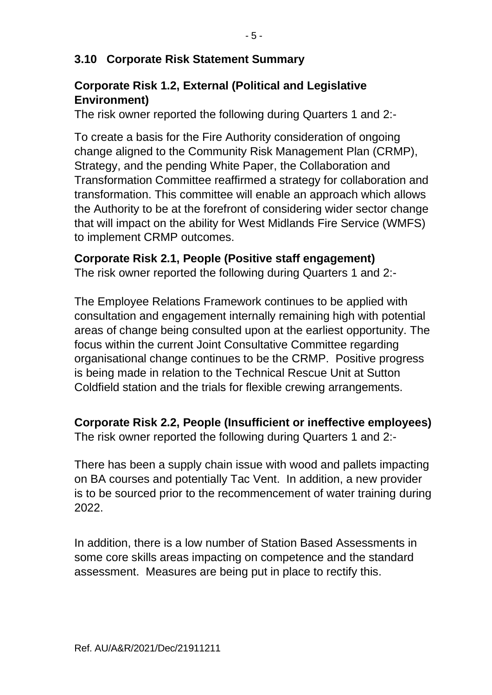### **3.10 Corporate Risk Statement Summary**

# **Corporate Risk 1.2, External (Political and Legislative Environment)**

The risk owner reported the following during Quarters 1 and 2:-

To create a basis for the Fire Authority consideration of ongoing change aligned to the Community Risk Management Plan (CRMP), Strategy, and the pending White Paper, the Collaboration and Transformation Committee reaffirmed a strategy for collaboration and transformation. This committee will enable an approach which allows the Authority to be at the forefront of considering wider sector change that will impact on the ability for West Midlands Fire Service (WMFS) to implement CRMP outcomes.

#### **Corporate Risk 2.1, People (Positive staff engagement)**

The risk owner reported the following during Quarters 1 and 2:-

The Employee Relations Framework continues to be applied with consultation and engagement internally remaining high with potential areas of change being consulted upon at the earliest opportunity. The focus within the current Joint Consultative Committee regarding organisational change continues to be the CRMP. Positive progress is being made in relation to the Technical Rescue Unit at Sutton Coldfield station and the trials for flexible crewing arrangements.

# **Corporate Risk 2.2, People (Insufficient or ineffective employees)**

The risk owner reported the following during Quarters 1 and 2:-

There has been a supply chain issue with wood and pallets impacting on BA courses and potentially Tac Vent. In addition, a new provider is to be sourced prior to the recommencement of water training during 2022.

In addition, there is a low number of Station Based Assessments in some core skills areas impacting on competence and the standard assessment. Measures are being put in place to rectify this.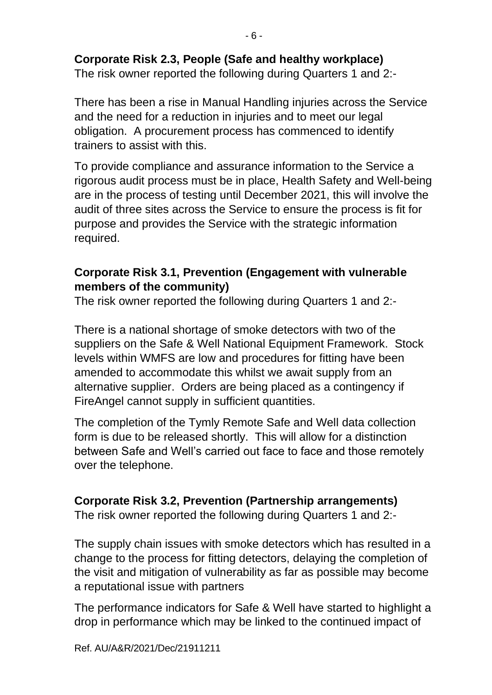# **Corporate Risk 2.3, People (Safe and healthy workplace)**

The risk owner reported the following during Quarters 1 and 2:-

There has been a rise in Manual Handling injuries across the Service and the need for a reduction in injuries and to meet our legal obligation. A procurement process has commenced to identify trainers to assist with this.

To provide compliance and assurance information to the Service a rigorous audit process must be in place, Health Safety and Well-being are in the process of testing until December 2021, this will involve the audit of three sites across the Service to ensure the process is fit for purpose and provides the Service with the strategic information required.

# **Corporate Risk 3.1, Prevention (Engagement with vulnerable members of the community)**

The risk owner reported the following during Quarters 1 and 2:-

There is a national shortage of smoke detectors with two of the suppliers on the Safe & Well National Equipment Framework. Stock levels within WMFS are low and procedures for fitting have been amended to accommodate this whilst we await supply from an alternative supplier. Orders are being placed as a contingency if FireAngel cannot supply in sufficient quantities.

The completion of the Tymly Remote Safe and Well data collection form is due to be released shortly. This will allow for a distinction between Safe and Well's carried out face to face and those remotely over the telephone.

# **Corporate Risk 3.2, Prevention (Partnership arrangements)**

The risk owner reported the following during Quarters 1 and 2:-

The supply chain issues with smoke detectors which has resulted in a change to the process for fitting detectors, delaying the completion of the visit and mitigation of vulnerability as far as possible may become a reputational issue with partners

The performance indicators for Safe & Well have started to highlight a drop in performance which may be linked to the continued impact of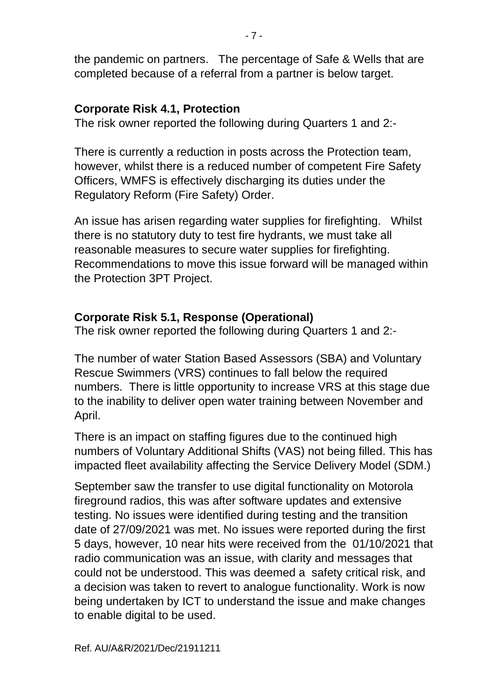the pandemic on partners. The percentage of Safe & Wells that are completed because of a referral from a partner is below target.

### **Corporate Risk 4.1, Protection**

The risk owner reported the following during Quarters 1 and 2:-

There is currently a reduction in posts across the Protection team, however, whilst there is a reduced number of competent Fire Safety Officers, WMFS is effectively discharging its duties under the Regulatory Reform (Fire Safety) Order.

An issue has arisen regarding water supplies for firefighting. Whilst there is no statutory duty to test fire hydrants, we must take all reasonable measures to secure water supplies for firefighting. Recommendations to move this issue forward will be managed within the Protection 3PT Project.

# **Corporate Risk 5.1, Response (Operational)**

The risk owner reported the following during Quarters 1 and 2:-

The number of water Station Based Assessors (SBA) and Voluntary Rescue Swimmers (VRS) continues to fall below the required numbers. There is little opportunity to increase VRS at this stage due to the inability to deliver open water training between November and April.

There is an impact on staffing figures due to the continued high numbers of Voluntary Additional Shifts (VAS) not being filled. This has impacted fleet availability affecting the Service Delivery Model (SDM.)

September saw the transfer to use digital functionality on Motorola fireground radios, this was after software updates and extensive testing. No issues were identified during testing and the transition date of 27/09/2021 was met. No issues were reported during the first 5 days, however, 10 near hits were received from the 01/10/2021 that radio communication was an issue, with clarity and messages that could not be understood. This was deemed a safety critical risk, and a decision was taken to revert to analogue functionality. Work is now being undertaken by ICT to understand the issue and make changes to enable digital to be used.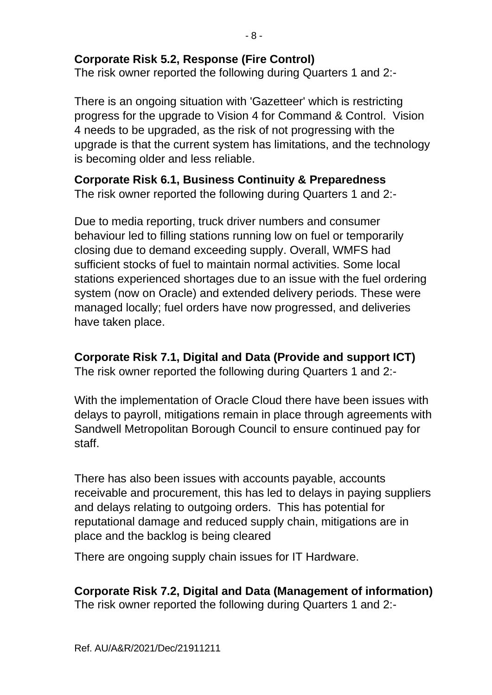# **Corporate Risk 5.2, Response (Fire Control)**

The risk owner reported the following during Quarters 1 and 2:-

There is an ongoing situation with 'Gazetteer' which is restricting progress for the upgrade to Vision 4 for Command & Control. Vision 4 needs to be upgraded, as the risk of not progressing with the upgrade is that the current system has limitations, and the technology is becoming older and less reliable.

### **Corporate Risk 6.1, Business Continuity & Preparedness**

The risk owner reported the following during Quarters 1 and 2:-

Due to media reporting, truck driver numbers and consumer behaviour led to filling stations running low on fuel or temporarily closing due to demand exceeding supply. Overall, WMFS had sufficient stocks of fuel to maintain normal activities. Some local stations experienced shortages due to an issue with the fuel ordering system (now on Oracle) and extended delivery periods. These were managed locally; fuel orders have now progressed, and deliveries have taken place.

**Corporate Risk 7.1, Digital and Data (Provide and support ICT)** The risk owner reported the following during Quarters 1 and 2:-

With the implementation of Oracle Cloud there have been issues with delays to payroll, mitigations remain in place through agreements with Sandwell Metropolitan Borough Council to ensure continued pay for staff.

There has also been issues with accounts payable, accounts receivable and procurement, this has led to delays in paying suppliers and delays relating to outgoing orders. This has potential for reputational damage and reduced supply chain, mitigations are in place and the backlog is being cleared

There are ongoing supply chain issues for IT Hardware.

**Corporate Risk 7.2, Digital and Data (Management of information)** The risk owner reported the following during Quarters 1 and 2:-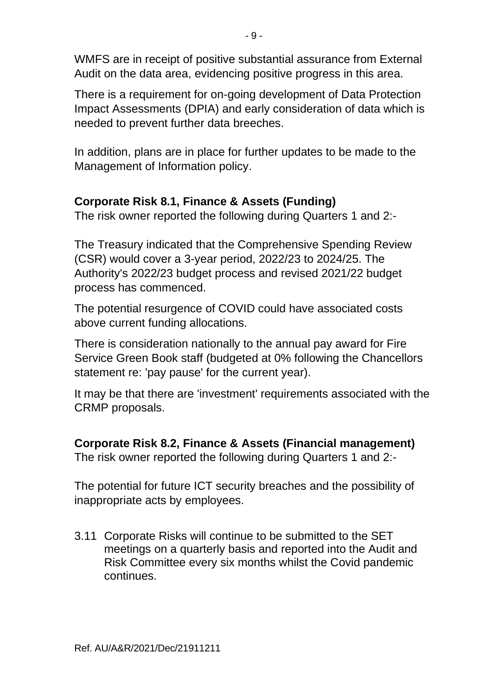WMFS are in receipt of positive substantial assurance from External Audit on the data area, evidencing positive progress in this area.

There is a requirement for on-going development of Data Protection Impact Assessments (DPIA) and early consideration of data which is needed to prevent further data breeches.

In addition, plans are in place for further updates to be made to the Management of Information policy.

# **Corporate Risk 8.1, Finance & Assets (Funding)**

The risk owner reported the following during Quarters 1 and 2:-

The Treasury indicated that the Comprehensive Spending Review (CSR) would cover a 3-year period, 2022/23 to 2024/25. The Authority's 2022/23 budget process and revised 2021/22 budget process has commenced.

The potential resurgence of COVID could have associated costs above current funding allocations.

There is consideration nationally to the annual pay award for Fire Service Green Book staff (budgeted at 0% following the Chancellors statement re: 'pay pause' for the current year).

It may be that there are 'investment' requirements associated with the CRMP proposals.

# **Corporate Risk 8.2, Finance & Assets (Financial management)**

The risk owner reported the following during Quarters 1 and 2:-

The potential for future ICT security breaches and the possibility of inappropriate acts by employees.

3.11 Corporate Risks will continue to be submitted to the SET meetings on a quarterly basis and reported into the Audit and Risk Committee every six months whilst the Covid pandemic continues.